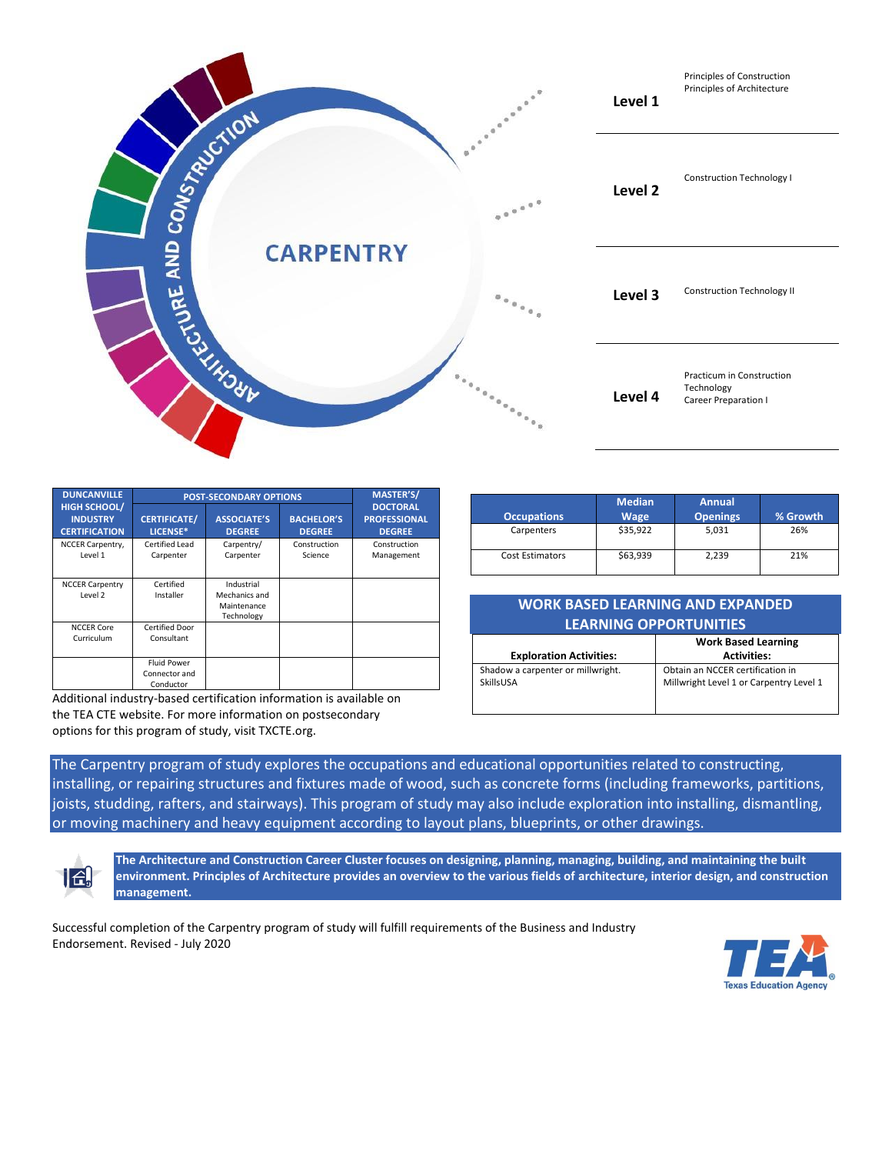

| <b>DUNCANVILLE</b>                                             | <b>POST-SECONDARY OPTIONS</b>                    | <b>MASTER'S/</b>                                         |                                    |                                                         |
|----------------------------------------------------------------|--------------------------------------------------|----------------------------------------------------------|------------------------------------|---------------------------------------------------------|
| <b>HIGH SCHOOL/</b><br><b>INDUSTRY</b><br><b>CERTIFICATION</b> | <b>CERTIFICATE/</b><br>LICENSE*                  | <b>ASSOCIATE'S</b><br><b>DEGREE</b>                      | <b>BACHELOR'S</b><br><b>DEGREE</b> | <b>DOCTORAL</b><br><b>PROFESSIONAL</b><br><b>DEGREE</b> |
| NCCER Carpentry,<br>Level 1                                    | Certified Lead<br>Carpenter                      | Carpentry/<br>Carpenter                                  | Construction<br>Science            | Construction<br>Management                              |
| <b>NCCER Carpentry</b><br>Level 2                              | Certified<br>Installer                           | Industrial<br>Mechanics and<br>Maintenance<br>Technology |                                    |                                                         |
| <b>NCCER Core</b><br>Curriculum                                | Certified Door<br>Consultant                     |                                                          |                                    |                                                         |
|                                                                | <b>Fluid Power</b><br>Connector and<br>Conductor |                                                          |                                    |                                                         |

Additional industry-based certification information is available on the TEA CTE website. For more information on postsecondary options for this program of study, visit TXCTE.org.

| <b>Occupations</b>     | <b>Median</b><br><b>Wage</b> | <b>Annual</b><br><b>Openings</b> | % Growth |
|------------------------|------------------------------|----------------------------------|----------|
| Carpenters             | \$35,922                     | 5.031                            | 26%      |
| <b>Cost Estimators</b> | \$63,939                     | 2,239                            | 21%      |

| WORK BASED LEARNING AND EXPANDED |  |  |  |  |
|----------------------------------|--|--|--|--|
| <b>LEARNING OPPORTUNITIES</b>    |  |  |  |  |

|                                                | <b>Work Based Learning</b>                                                  |  |
|------------------------------------------------|-----------------------------------------------------------------------------|--|
| <b>Exploration Activities:</b>                 | <b>Activities:</b>                                                          |  |
| Shadow a carpenter or millwright.<br>SkillsUSA | Obtain an NCCER certification in<br>Millwright Level 1 or Carpentry Level 1 |  |

The Carpentry program of study explores the occupations and educational opportunities related to constructing, installing, or repairing structures and fixtures made of wood, such as concrete forms (including frameworks, partitions, joists, studding, rafters, and stairways). This program of study may also include exploration into installing, dismantling, or moving machinery and heavy equipment according to layout plans, blueprints, or other drawings.



**The Architecture and Construction Career Cluster focuses on designing, planning, managing, building, and maintaining the built environment. Principles of Architecture provides an overview to the various fields of architecture, interior design, and construction management.**

Successful completion of the Carpentry program of study will fulfill requirements of the Business and Industry Endorsement. Revised - July 2020